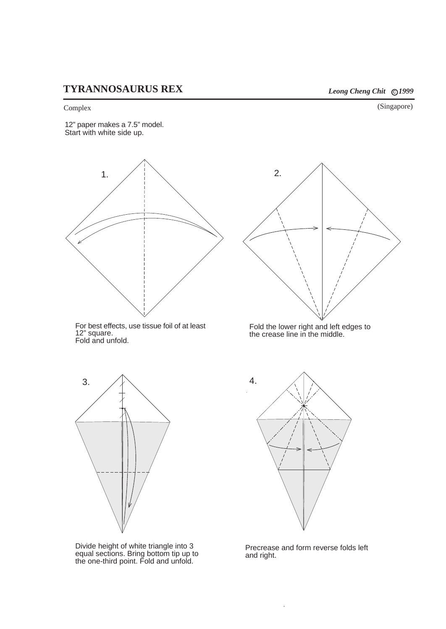## **TYRANNOSAURUS REX** *Leong Cheng Chit*  $\odot$  1999

Complex (Singapore)

12" paper makes a 7.5" model. Start with white side up.







Divide height of white triangle into 3 equal sections. Bring bottom tip up to the one-third point. Fold and unfold.



Fold the lower right and left edges to the crease line in the middle.



Precrease and form reverse folds left and right.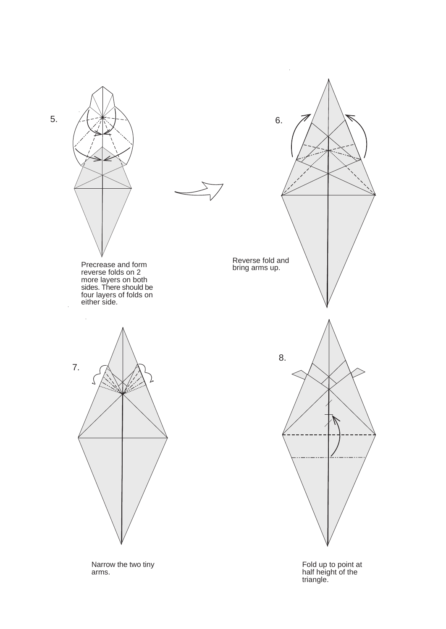

Narrow the two tiny arms.

Fold up to point at half height of the triangle.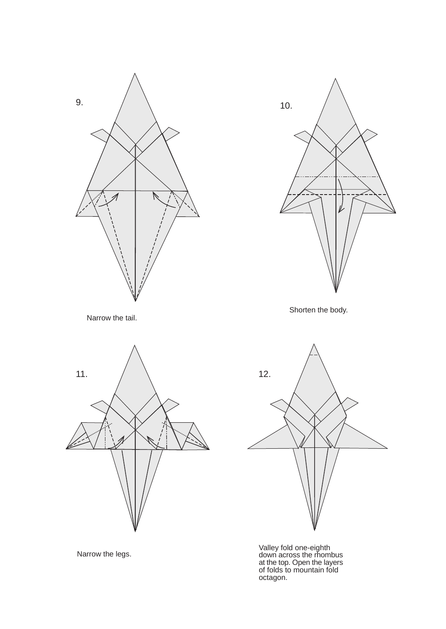

Narrow the tail.





Shorten the body.



Valley fold one-eighth down across the rhombus at the top. Open the layers of folds to mountain fold octagon.

Narrow the legs.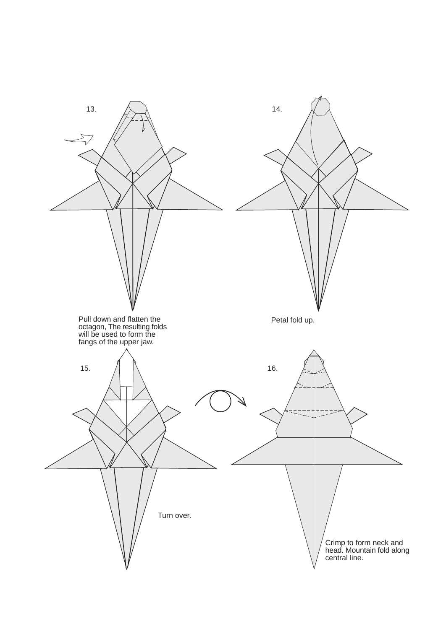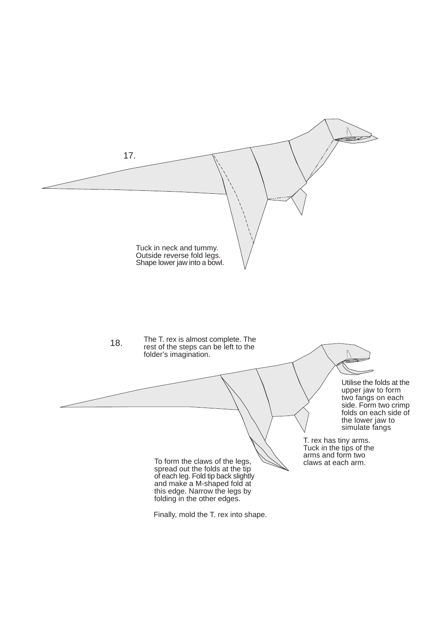

Finally, mold the T. rex into shape.